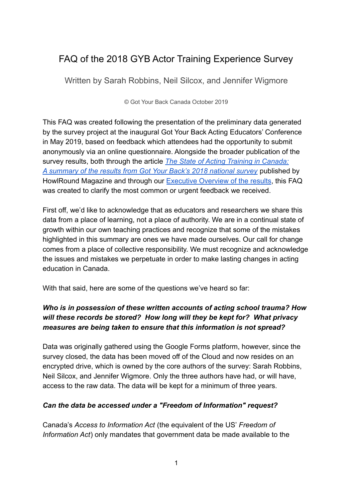# FAQ of the 2018 GYB Actor Training Experience Survey

Written by Sarah Robbins, Neil Silcox, and Jennifer Wigmore

© Got Your Back Canada October 2019

This FAQ was created following the presentation of the preliminary data generated by the survey project at the inaugural Got Your Back Acting Educators' Conference in May 2019, based on feedback which attendees had the opportunity to submit anonymously via an online questionnaire. Alongside the broader publication of the survey results, both through the article *The State [of Acting Training in Canada:](http://bit.ly/GYBSurveySummary) [A summary of the results from Got Your Back's 2018 national survey](http://bit.ly/GYBSurveySummary)* published by HowlRound Magazine and through our [Executive Overview](http://bit.ly/GYBSurveyOverview) of the results, this FAQ was created to clarify the most common or urgent feedback we received.

First off, we'd like to acknowledge that as educators and researchers we share this data from a place of learning, not a place of authority. We are in a continual state of growth within our own teaching practices and recognize that some of the mistakes highlighted in this summary are ones we have made ourselves. Our call for change comes from a place of collective responsibility. We must recognize and acknowledge the issues and mistakes we perpetuate in order to make lasting changes in acting education in Canada.

With that said, here are some of the questions we've heard so far:

## *Who is in possession of these written accounts of acting school trauma? How will these records be stored? How long will they be kept for? What privacy measures are being taken to ensure that this information is not spread?*

Data was originally gathered using the Google Forms platform, however, since the survey closed, the data has been moved off of the Cloud and now resides on an encrypted drive, which is owned by the core authors of the survey: Sarah Robbins, Neil Silcox, and Jennifer Wigmore. Only the three authors have had, or will have, access to the raw data. The data will be kept for a minimum of three years.

## *Can the data be accessed under a "Freedom of Information" request?*

Canada's *Access to Information Act* (the equivalent of the US' *Freedom of Information Act*) only mandates that government data be made available to the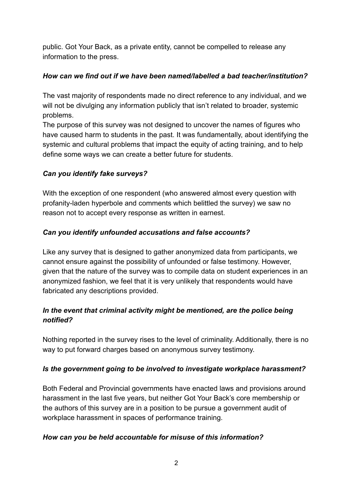public. Got Your Back, as a private entity, cannot be compelled to release any information to the press.

## *How can we find out if we have been named/labelled a bad teacher/institution?*

The vast majority of respondents made no direct reference to any individual, and we will not be divulging any information publicly that isn't related to broader, systemic problems.

The purpose of this survey was not designed to uncover the names of figures who have caused harm to students in the past. It was fundamentally, about identifying the systemic and cultural problems that impact the equity of acting training, and to help define some ways we can create a better future for students.

# *Can you identify fake surveys?*

With the exception of one respondent (who answered almost every question with profanity-laden hyperbole and comments which belittled the survey) we saw no reason not to accept every response as written in earnest.

# *Can you identify unfounded accusations and false accounts?*

Like any survey that is designed to gather anonymized data from participants, we cannot ensure against the possibility of unfounded or false testimony. However, given that the nature of the survey was to compile data on student experiences in an anonymized fashion, we feel that it is very unlikely that respondents would have fabricated any descriptions provided.

## *In the event that criminal activity might be mentioned, are the police being notified?*

Nothing reported in the survey rises to the level of criminality. Additionally, there is no way to put forward charges based on anonymous survey testimony.

## *Is the government going to be involved to investigate workplace harassment?*

Both Federal and Provincial governments have enacted laws and provisions around harassment in the last five years, but neither Got Your Back's core membership or the authors of this survey are in a position to be pursue a government audit of workplace harassment in spaces of performance training.

## *How can you be held accountable for misuse of this information?*